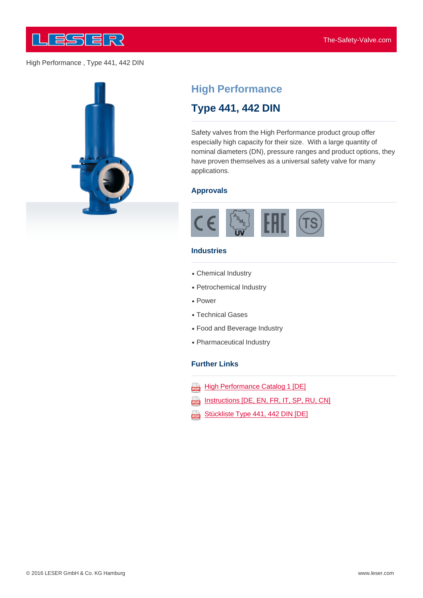



# **High Performance**

# **Type 441, 442 DIN**

Safety valves from the High Performance product group offer especially high capacity for their size. With a large quantity of nominal diameters (DN), pressure ranges and product options, they have proven themselves as a universal safety valve for many applications.

#### **Approvals**



#### **Industries**

- Chemical Industry
- Petrochemical Industry
- Power
- Technical Gases
- Food and Beverage Industry
- Pharmaceutical Industry

#### **Further Links**

- **High Performance Catalog 1 [DE]** करे
- Instructions [DE, EN, FR, IT, SP, RU, CN]
- Stückliste Type 441, 442 DIN [DE] 202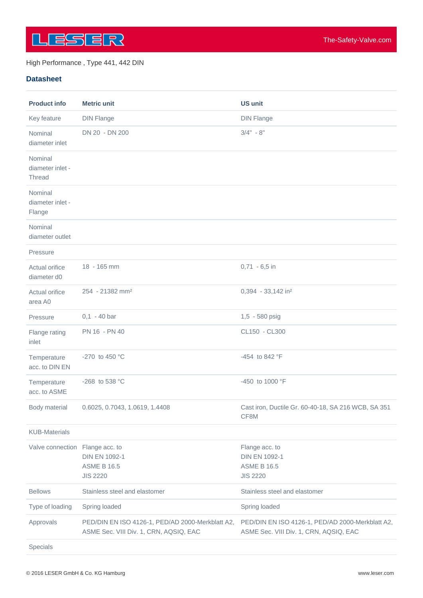

#### **Datasheet**

| <b>Product info</b>                   | <b>Metric unit</b>                                                                         | <b>US unit</b>                                                                             |
|---------------------------------------|--------------------------------------------------------------------------------------------|--------------------------------------------------------------------------------------------|
| Key feature                           | <b>DIN Flange</b>                                                                          | <b>DIN Flange</b>                                                                          |
| Nominal<br>diameter inlet             | DN 20 - DN 200                                                                             | $3/4" - 8"$                                                                                |
| Nominal<br>diameter inlet -<br>Thread |                                                                                            |                                                                                            |
| Nominal<br>diameter inlet -<br>Flange |                                                                                            |                                                                                            |
| Nominal<br>diameter outlet            |                                                                                            |                                                                                            |
| Pressure                              |                                                                                            |                                                                                            |
| Actual orifice<br>diameter d0         | 18 - 165 mm                                                                                | $0,71 - 6,5$ in                                                                            |
| Actual orifice<br>area A0             | 254 - 21382 mm <sup>2</sup>                                                                | 0,394 - 33,142 in <sup>2</sup>                                                             |
| Pressure                              | $0,1 - 40$ bar                                                                             | 1,5 - 580 psig                                                                             |
| Flange rating<br>inlet                | PN 16 - PN 40                                                                              | CL150 - CL300                                                                              |
| Temperature<br>acc. to DIN EN         | -270 to 450 °C                                                                             | -454 to 842 °F                                                                             |
| Temperature<br>acc. to ASME           | -268 to 538 °C                                                                             | -450 to 1000 °F                                                                            |
| Body material                         | 0.6025, 0.7043, 1.0619, 1.4408                                                             | Cast iron, Ductile Gr. 60-40-18, SA 216 WCB, SA 351<br>CF8M                                |
| <b>KUB-Materials</b>                  |                                                                                            |                                                                                            |
| Valve connection Flange acc. to       | <b>DIN EN 1092-1</b><br><b>ASME B 16.5</b><br><b>JIS 2220</b>                              | Flange acc. to<br><b>DIN EN 1092-1</b><br><b>ASME B 16.5</b><br><b>JIS 2220</b>            |
| <b>Bellows</b>                        | Stainless steel and elastomer                                                              | Stainless steel and elastomer                                                              |
| Type of loading                       | Spring loaded                                                                              | Spring loaded                                                                              |
| Approvals                             | PED/DIN EN ISO 4126-1, PED/AD 2000-Merkblatt A2,<br>ASME Sec. VIII Div. 1, CRN, AQSIQ, EAC | PED/DIN EN ISO 4126-1, PED/AD 2000-Merkblatt A2,<br>ASME Sec. VIII Div. 1, CRN, AQSIQ, EAC |
| Specials                              |                                                                                            |                                                                                            |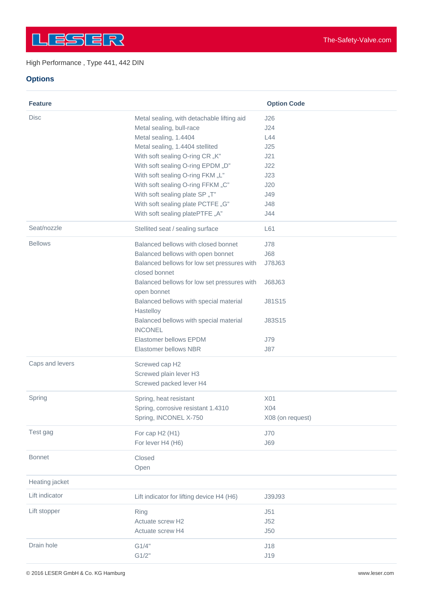# **Options**

| <b>Feature</b>  |                                                              | <b>Option Code</b> |
|-----------------|--------------------------------------------------------------|--------------------|
| <b>Disc</b>     | Metal sealing, with detachable lifting aid                   | J26                |
|                 | Metal sealing, bull-race                                     | J24                |
|                 | Metal sealing, 1.4404                                        | L44                |
|                 | Metal sealing, 1.4404 stellited                              | J25                |
|                 | With soft sealing O-ring CR "K"                              | J21                |
|                 | With soft sealing O-ring EPDM "D"                            | J22                |
|                 | With soft sealing O-ring FKM "L"                             | J23                |
|                 | With soft sealing O-ring FFKM "C"                            | J20                |
|                 | With soft sealing plate SP "T"                               | J49                |
|                 | With soft sealing plate PCTFE "G"                            | J48                |
|                 | With soft sealing platePTFE "A"                              | J44                |
| Seat/nozzle     | Stellited seat / sealing surface                             | L61                |
| <b>Bellows</b>  | Balanced bellows with closed bonnet                          | J78                |
|                 | Balanced bellows with open bonnet                            | <b>J68</b>         |
|                 | Balanced bellows for low set pressures with<br>closed bonnet | J78J63             |
|                 | Balanced bellows for low set pressures with<br>open bonnet   | J68J63             |
|                 | Balanced bellows with special material                       | <b>J81S15</b>      |
|                 | Hastelloy                                                    |                    |
|                 | Balanced bellows with special material<br><b>INCONEL</b>     | J83S15             |
|                 | Elastomer bellows EPDM                                       | <b>J79</b>         |
|                 | Elastomer bellows NBR                                        | J87                |
| Caps and levers | Screwed cap H2                                               |                    |
|                 | Screwed plain lever H3                                       |                    |
|                 | Screwed packed lever H4                                      |                    |
| Spring          | Spring, heat resistant                                       | X01                |
|                 | Spring, corrosive resistant 1.4310                           | X04                |
|                 | Spring, INCONEL X-750                                        | X08 (on request)   |
| Test gag        | For cap H2 (H1)                                              | J70                |
|                 | For lever H4 (H6)                                            | <b>J69</b>         |
| <b>Bonnet</b>   | Closed                                                       |                    |
|                 | Open                                                         |                    |
| Heating jacket  |                                                              |                    |
| Lift indicator  | Lift indicator for lifting device H4 (H6)                    | J39J93             |
| Lift stopper    | Ring                                                         | J51                |
|                 | Actuate screw H2                                             | J52                |
|                 | Actuate screw H4                                             | J50                |
| Drain hole      | G1/4"                                                        | J18                |
|                 | G1/2"                                                        | J19                |